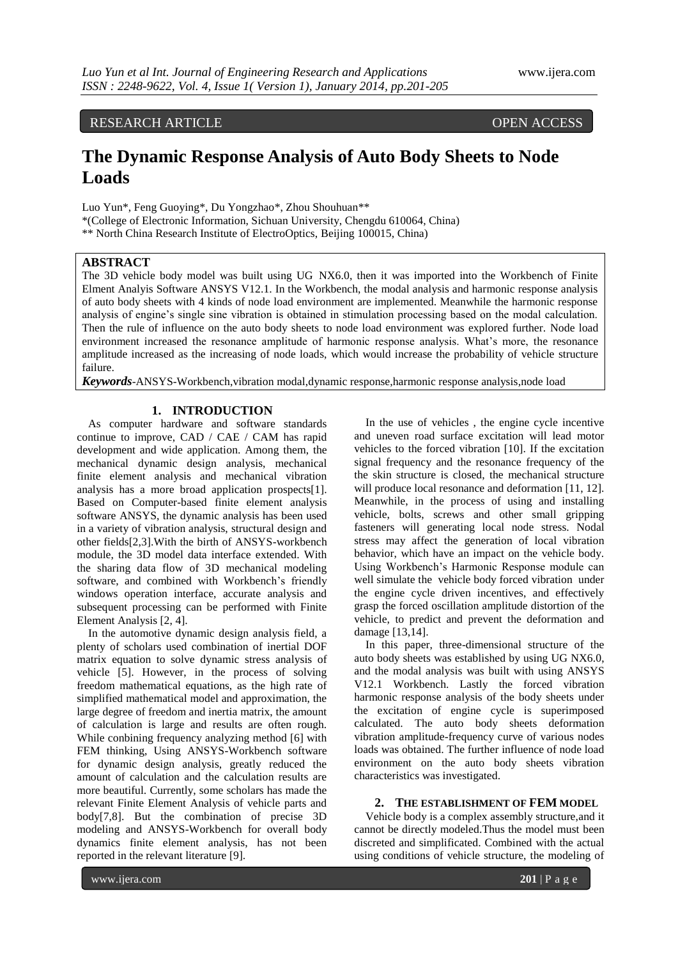## RESEARCH ARTICLE OPEN ACCESS

# **The Dynamic Response Analysis of Auto Body Sheets to Node Loads**

Luo Yun\*, Feng Guoying\*, Du Yongzhao\*, Zhou Shouhuan\*\* \*(College of Electronic Information, Sichuan University, Chengdu 610064, China) \*\* North China Research Institute of ElectroOptics, Beijing 100015, China)

#### **ABSTRACT**

The 3D vehicle body model was built using UG NX6.0, then it was imported into the Workbench of Finite Elment Analyis Software ANSYS V12.1. In the Workbench, the modal analysis and harmonic response analysis of auto body sheets with 4 kinds of node load environment are implemented. Meanwhile the harmonic response analysis of engine's single sine vibration is obtained in stimulation processing based on the modal calculation. Then the rule of influence on the auto body sheets to node load environment was explored further. Node load environment increased the resonance amplitude of harmonic response analysis. What's more, the resonance amplitude increased as the increasing of node loads, which would increase the probability of vehicle structure failure.

*Keywords*-ANSYS-Workbench,vibration modal,dynamic response,harmonic response analysis,node load

### **1. INTRODUCTION**

As computer hardware and software standards continue to improve, CAD / CAE / CAM has rapid development and wide application. Among them, the mechanical dynamic design analysis, mechanical finite element analysis and mechanical vibration analysis has a more broad application prospects[1]. Based on Computer-based finite element analysis software ANSYS, the dynamic analysis has been used in a variety of vibration analysis, structural design and other fields[2,3].With the birth of ANSYS-workbench module, the 3D model data interface extended. With the sharing data flow of 3D mechanical modeling software, and combined with Workbench's friendly windows operation interface, accurate analysis and subsequent processing can be performed with Finite Element Analysis [2, 4].

In the automotive dynamic design analysis field, a plenty of scholars used combination of inertial DOF matrix equation to solve dynamic stress analysis of vehicle [5]. However, in the process of solving freedom mathematical equations, as the high rate of simplified mathematical model and approximation, the large degree of freedom and inertia matrix, the amount of calculation is large and results are often rough. While conbining frequency analyzing method [6] with FEM thinking, Using ANSYS-Workbench software for dynamic design analysis, greatly reduced the amount of calculation and the calculation results are more beautiful. Currently, some scholars has made the relevant Finite Element Analysis of vehicle parts and body[7,8]. But the combination of precise 3D modeling and ANSYS-Workbench for overall body dynamics finite element analysis, has not been reported in the relevant literature [9].

In the use of vehicles , the engine cycle incentive and uneven road surface excitation will lead motor vehicles to the forced vibration [10]. If the excitation signal frequency and the resonance frequency of the the skin structure is closed, the mechanical structure will produce local resonance and deformation [11, 12]. Meanwhile, in the process of using and installing vehicle, bolts, screws and other small gripping fasteners will generating local node stress. Nodal stress may affect the generation of local vibration behavior, which have an impact on the vehicle body. Using Workbench's Harmonic Response module can well simulate the vehicle body forced vibration under the engine cycle driven incentives, and effectively grasp the forced oscillation amplitude distortion of the vehicle, to predict and prevent the deformation and damage [13,14].

In this paper, three-dimensional structure of the auto body sheets was established by using UG NX6.0, and the modal analysis was built with using ANSYS V12.1 Workbench. Lastly the forced vibration harmonic response analysis of the body sheets under the excitation of engine cycle is superimposed calculated. The auto body sheets deformation vibration amplitude-frequency curve of various nodes loads was obtained. The further influence of node load environment on the auto body sheets vibration characteristics was investigated.

#### **2. THE ESTABLISHMENT OF FEM MODEL**

Vehicle body is a complex assembly structure,and it cannot be directly modeled.Thus the model must been discreted and simplificated. Combined with the actual using conditions of vehicle structure, the modeling of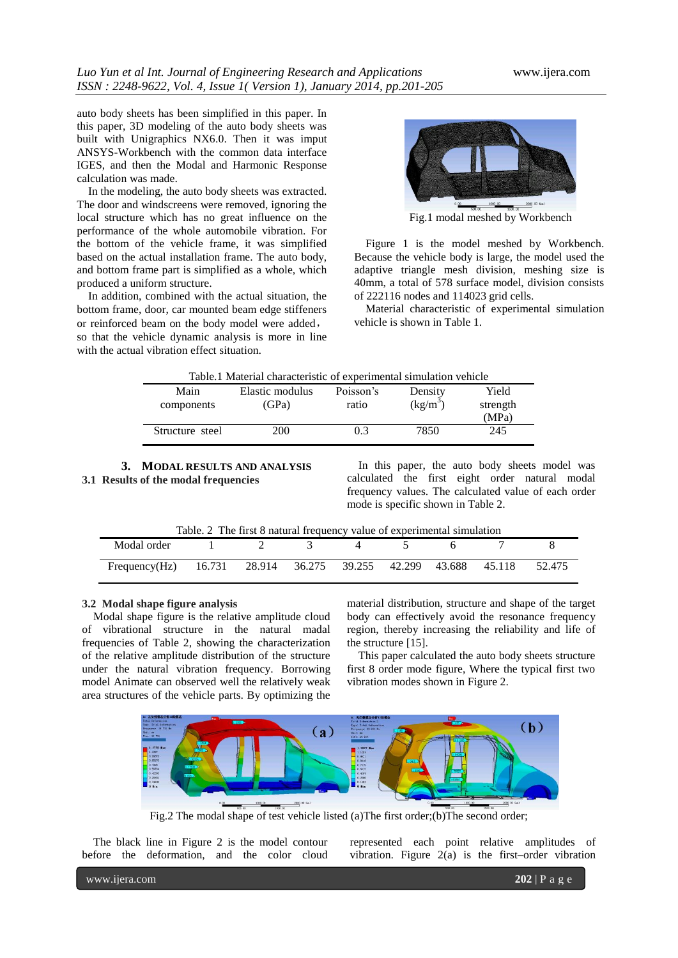auto body sheets has been simplified in this paper. In this paper, 3D modeling of the auto body sheets was built with Unigraphics NX6.0. Then it was imput ANSYS-Workbench with the common data interface IGES, and then the Modal and Harmonic Response calculation was made.

In the modeling, the auto body sheets was extracted. The door and windscreens were removed, ignoring the local structure which has no great influence on the performance of the whole automobile vibration. For the bottom of the vehicle frame, it was simplified based on the actual installation frame. The auto body, and bottom frame part is simplified as a whole, which produced a uniform structure.

In addition, combined with the actual situation, the bottom frame, door, car mounted beam edge stiffeners or reinforced beam on the body model were added, so that the vehicle dynamic analysis is more in line with the actual vibration effect situation.



Fig.1 modal meshed by Workbench

Figure 1 is the model meshed by Workbench. Because the vehicle body is large, the model used the adaptive triangle mesh division, meshing size is 40mm, a total of 578 surface model, division consists of 222116 nodes and 114023 grid cells.

Material characteristic of experimental simulation vehicle is shown in Table 1.

| Table.1 Material characteristic of experimental simulation vehicle |                 |           |            |          |  |  |  |  |  |
|--------------------------------------------------------------------|-----------------|-----------|------------|----------|--|--|--|--|--|
| Main                                                               | Elastic modulus | Poisson's | Density    | Yield    |  |  |  |  |  |
| components                                                         | (GPa)           | ratio     | $(kg/m^3)$ | strength |  |  |  |  |  |
|                                                                    |                 |           |            | (MPa)    |  |  |  |  |  |
| Structure steel                                                    | 200             | 0.3       | 7850       | 245      |  |  |  |  |  |
|                                                                    |                 |           |            |          |  |  |  |  |  |

**3. MODAL RESULTS AND ANALYSIS 3.1 Results of the modal frequencies**

In this paper, the auto body sheets model was calculated the first eight order natural modal frequency values. The calculated value of each order mode is specific shown in Table 2.

| Table. 2 The first 8 natural frequency value of experimental simulation      |  |  |  |  |  |  |  |        |  |  |
|------------------------------------------------------------------------------|--|--|--|--|--|--|--|--------|--|--|
| Modal order $1 \t 2 \t 3 \t 4 \t 5 \t 6$                                     |  |  |  |  |  |  |  |        |  |  |
| Frequency(Hz) $16.731$ $28.914$ $36.275$ $39.255$ $42.299$ $43.688$ $45.118$ |  |  |  |  |  |  |  | 52.475 |  |  |

#### **3.2 Modal shape figure analysis**

Modal shape figure is the relative amplitude cloud of vibrational structure in the natural madal frequencies of Table 2, showing the characterization of the relative amplitude distribution of the structure under the natural vibration frequency. Borrowing model Animate can observed well the relatively weak area structures of the vehicle parts. By optimizing the material distribution, structure and shape of the target body can effectively avoid the resonance frequency region, thereby increasing the reliability and life of the structure [15].

This paper calculated the auto body sheets structure first 8 order mode figure, Where the typical first two vibration modes shown in Figure 2.



Fig.2 The modal shape of test vehicle listed (a)The first order;(b)The second order;

The black line in Figure 2 is the model contour before the deformation, and the color cloud represented each point relative amplitudes of vibration. Figure  $2(a)$  is the first–order vibration

www.ijera.com **202** | P a g e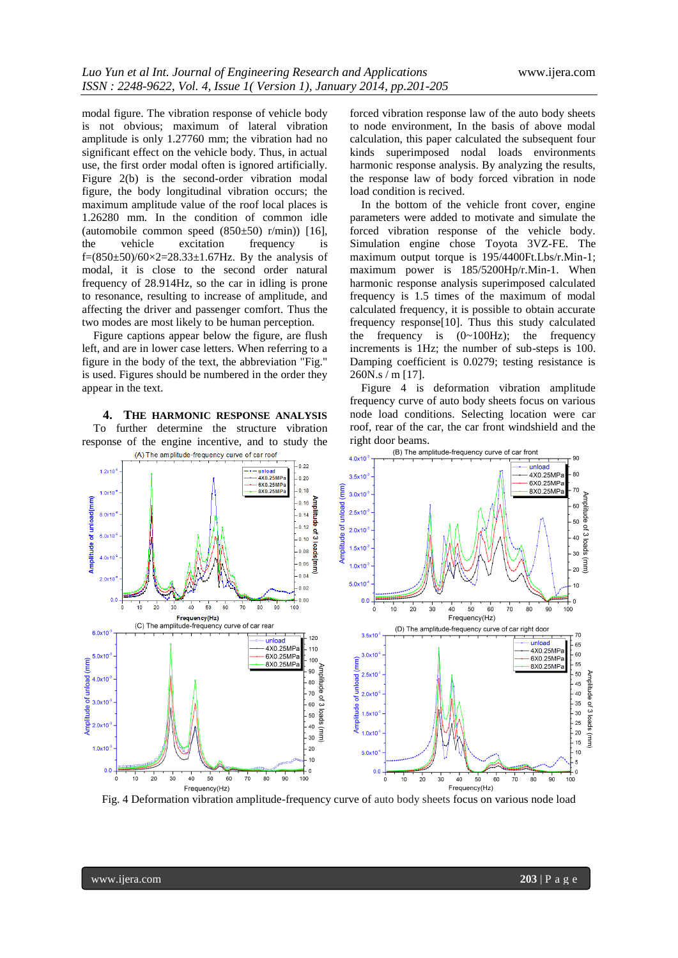modal figure. The vibration response of vehicle body is not obvious; maximum of lateral vibration amplitude is only 1.27760 mm; the vibration had no significant effect on the vehicle body. Thus, in actual use, the first order modal often is ignored artificially. Figure 2(b) is the second-order vibration modal figure, the body longitudinal vibration occurs; the maximum amplitude value of the roof local places is 1.26280 mm. In the condition of common idle (automobile common speed  $(850±50)$  r/min)) [16],<br>the vehicle excitation frequency is vehicle excitation frequency is f=(850±50)/60×2=28.33±1.67Hz. By the analysis of modal, it is close to the second order natural frequency of 28.914Hz, so the car in idling is prone to resonance, resulting to increase of amplitude, and affecting the driver and passenger comfort. Thus the two modes are most likely to be human perception.

Figure captions appear below the figure, are flush left, and are in lower case letters. When referring to a figure in the body of the text, the abbreviation "Fig." is used. Figures should be numbered in the order they appear in the text.

**4. THE HARMONIC RESPONSE ANALYSIS** To further determine the structure vibration response of the engine incentive, and to study the (A) The amplitude-frequency curve of car roof

forced vibration response law of the auto body sheets to node environment, In the basis of above modal calculation, this paper calculated the subsequent four kinds superimposed nodal loads environments harmonic response analysis. By analyzing the results, the response law of body forced vibration in node load condition is recived.

In the bottom of the vehicle front cover, engine parameters were added to motivate and simulate the forced vibration response of the vehicle body. Simulation engine chose Toyota 3VZ-FE. The maximum output torque is 195/4400Ft.Lbs/r.Min-1; maximum power is 185/5200Hp/r.Min-1. When harmonic response analysis superimposed calculated frequency is 1.5 times of the maximum of modal calculated frequency, it is possible to obtain accurate frequency response[10]. Thus this study calculated the frequency is  $(0 \sim 100 Hz)$ ; the frequency increments is 1Hz; the number of sub-steps is 100. Damping coefficient is 0.0279; testing resistance is 260N.s / m [17].

Figure 4 is deformation vibration amplitude frequency curve of auto body sheets focus on various node load conditions. Selecting location were car roof, rear of the car, the car front windshield and the right door beams.



Fig. 4 Deformation vibration amplitude-frequency curve of auto body sheets focus on various node load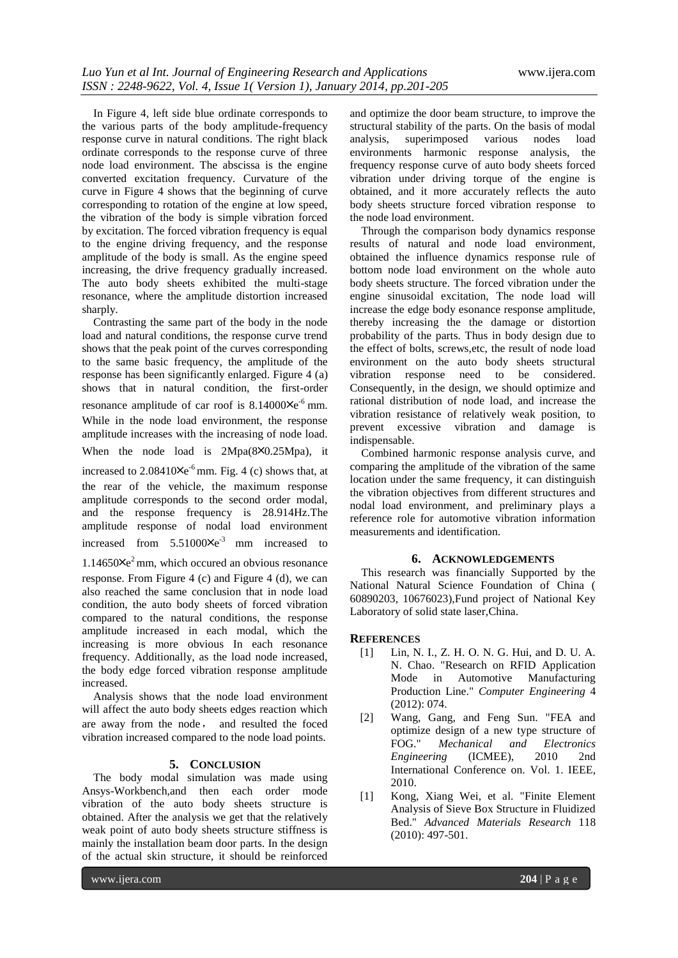In Figure 4, left side blue ordinate corresponds to the various parts of the body amplitude-frequency response curve in natural conditions. The right black ordinate corresponds to the response curve of three node load environment. The abscissa is the engine converted excitation frequency. Curvature of the curve in Figure 4 shows that the beginning of curve corresponding to rotation of the engine at low speed, the vibration of the body is simple vibration forced by excitation. The forced vibration frequency is equal to the engine driving frequency, and the response amplitude of the body is small. As the engine speed increasing, the drive frequency gradually increased. The auto body sheets exhibited the multi-stage resonance, where the amplitude distortion increased sharply.

Contrasting the same part of the body in the node load and natural conditions, the response curve trend shows that the peak point of the curves corresponding to the same basic frequency, the amplitude of the response has been significantly enlarged. Figure 4 (a) shows that in natural condition, the first-order resonance amplitude of car roof is  $8.14000 \times e^{-6}$  mm. While in the node load environment, the response amplitude increases with the increasing of node load. When the node load is  $2Mpa(8×0.25Mpa)$ , it

increased to  $2.08410\times e^{-6}$  mm. Fig. 4 (c) shows that, at the rear of the vehicle, the maximum response amplitude corresponds to the second order modal, and the response frequency is 28.914Hz.The amplitude response of nodal load environment increased from  $5.51000\times e^{-3}$  mm increased to

1.14650╳e <sup>2</sup> mm, which occured an obvious resonance

response. From Figure 4 (c) and Figure 4 (d), we can also reached the same conclusion that in node load condition, the auto body sheets of forced vibration compared to the natural conditions, the response amplitude increased in each modal, which the increasing is more obvious In each resonance frequency. Additionally, as the load node increased, the body edge forced vibration response amplitude increased.

Analysis shows that the node load environment will affect the auto body sheets edges reaction which are away from the node, and resulted the foced vibration increased compared to the node load points.

### **5. CONCLUSION**

The body modal simulation was made using Ansys-Workbench,and then each order mode vibration of the auto body sheets structure is obtained. After the analysis we get that the relatively weak point of auto body sheets structure stiffness is mainly the installation beam door parts. In the design of the actual skin structure, it should be reinforced

and optimize the door beam structure, to improve the structural stability of the parts. On the basis of modal analysis, superimposed various nodes load environments harmonic response analysis, the frequency response curve of auto body sheets forced vibration under driving torque of the engine is obtained, and it more accurately reflects the auto body sheets structure forced vibration response to the node load environment.

Through the comparison body dynamics response results of natural and node load environment, obtained the influence dynamics response rule of bottom node load environment on the whole auto body sheets structure. The forced vibration under the engine sinusoidal excitation, The node load will increase the edge body esonance response amplitude, thereby increasing the the damage or distortion probability of the parts. Thus in body design due to the effect of bolts, screws,etc, the result of node load environment on the auto body sheets structural vibration response need to be considered. Consequently, in the design, we should optimize and rational distribution of node load, and increase the vibration resistance of relatively weak position, to prevent excessive vibration and damage is indispensable.

Combined harmonic response analysis curve, and comparing the amplitude of the vibration of the same location under the same frequency, it can distinguish the vibration objectives from different structures and nodal load environment, and preliminary plays a reference role for automotive vibration information measurements and identification.

#### **6. ACKNOWLEDGEMENTS**

This research was financially Supported by the National Natural Science Foundation of China ( 60890203, 10676023),Fund project of National Key Laboratory of solid state laser,China.

#### **REFERENCES**

- [1] Lin, N. I., Z. H. O. N. G. Hui, and D. U. A. N. Chao. "Research on RFID Application Mode in Automotive Manufacturing Production Line." *Computer Engineering* 4 (2012): 074.
- [2] Wang, Gang, and Feng Sun. "FEA and optimize design of a new type structure of FOG." *Mechanical and Electronics Engineering* (ICMEE), 2010 2nd International Conference on. Vol. 1. IEEE, 2010.
- [1] Kong, Xiang Wei, et al. "Finite Element Analysis of Sieve Box Structure in Fluidized Bed." *Advanced Materials Research* 118 (2010): 497-501.